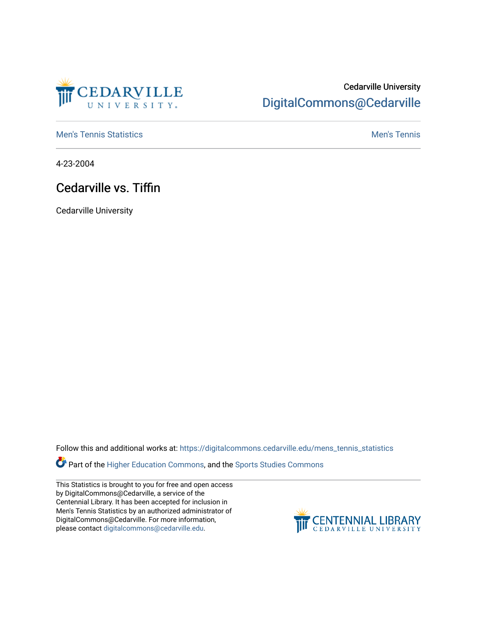

## Cedarville University [DigitalCommons@Cedarville](https://digitalcommons.cedarville.edu/)

**[Men's Tennis Statistics](https://digitalcommons.cedarville.edu/mens_tennis_statistics) Mental According to the Control of Control According Mental Men's Tennis** 

4-23-2004

## Cedarville vs. Tiffin

Cedarville University

Follow this and additional works at: [https://digitalcommons.cedarville.edu/mens\\_tennis\\_statistics](https://digitalcommons.cedarville.edu/mens_tennis_statistics?utm_source=digitalcommons.cedarville.edu%2Fmens_tennis_statistics%2F584&utm_medium=PDF&utm_campaign=PDFCoverPages)

**Part of the [Higher Education Commons,](http://network.bepress.com/hgg/discipline/1245?utm_source=digitalcommons.cedarville.edu%2Fmens_tennis_statistics%2F584&utm_medium=PDF&utm_campaign=PDFCoverPages) and the Sports Studies Commons** 

This Statistics is brought to you for free and open access by DigitalCommons@Cedarville, a service of the Centennial Library. It has been accepted for inclusion in Men's Tennis Statistics by an authorized administrator of DigitalCommons@Cedarville. For more information, please contact [digitalcommons@cedarville.edu](mailto:digitalcommons@cedarville.edu).